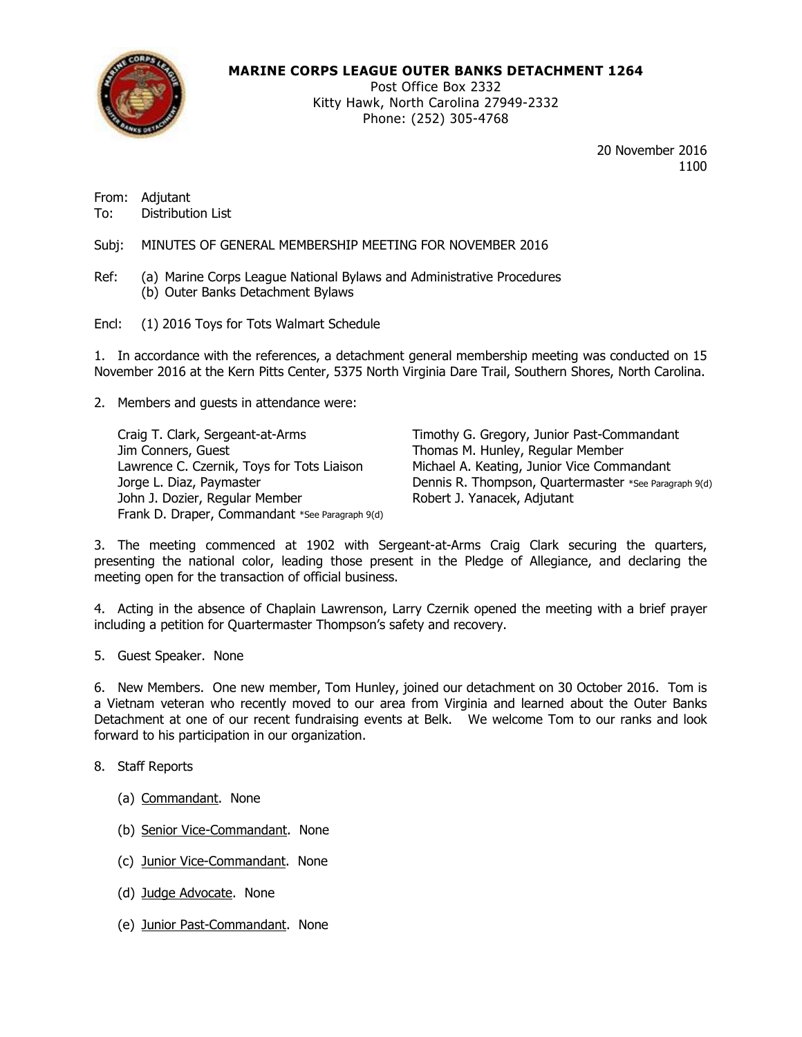

## **MARINE CORPS LEAGUE OUTER BANKS DETACHMENT 1264**

Post Office Box 2332 Kitty Hawk, North Carolina 27949-2332 Phone: (252) 305-4768

> 20 November 2016 1100

From: Adjutant To: Distribution List

Subj: MINUTES OF GENERAL MEMBERSHIP MEETING FOR NOVEMBER 2016

- Ref: (a) Marine Corps League National Bylaws and Administrative Procedures (b) Outer Banks Detachment Bylaws
- Encl: (1) 2016 Toys for Tots Walmart Schedule

1. In accordance with the references, a detachment general membership meeting was conducted on 15 November 2016 at the Kern Pitts Center, 5375 North Virginia Dare Trail, Southern Shores, North Carolina.

2. Members and guests in attendance were:

Jim Conners, Guest **Thomas M. Hunley, Regular Member** Lawrence C. Czernik, Toys for Tots Liaison Michael A. Keating, Junior Vice Commandant John J. Dozier, Regular Member Robert J. Yanacek, Adjutant Frank D. Draper, Commandant \*See Paragraph 9(d)

Craig T. Clark, Sergeant-at-Arms Timothy G. Gregory, Junior Past-Commandant Jorge L. Diaz, Paymaster **Dennis R. Thompson, Quartermaster \*See Paragraph 9(d)** 

3. The meeting commenced at 1902 with Sergeant-at-Arms Craig Clark securing the quarters, presenting the national color, leading those present in the Pledge of Allegiance, and declaring the meeting open for the transaction of official business.

4. Acting in the absence of Chaplain Lawrenson, Larry Czernik opened the meeting with a brief prayer including a petition for Quartermaster Thompson's safety and recovery.

5. Guest Speaker. None

6. New Members. One new member, Tom Hunley, joined our detachment on 30 October 2016. Tom is a Vietnam veteran who recently moved to our area from Virginia and learned about the Outer Banks Detachment at one of our recent fundraising events at Belk. We welcome Tom to our ranks and look forward to his participation in our organization.

- 8. Staff Reports
	- (a) Commandant. None
	- (b) Senior Vice-Commandant. None
	- (c) Junior Vice-Commandant. None
	- (d) Judge Advocate. None
	- (e) Junior Past-Commandant. None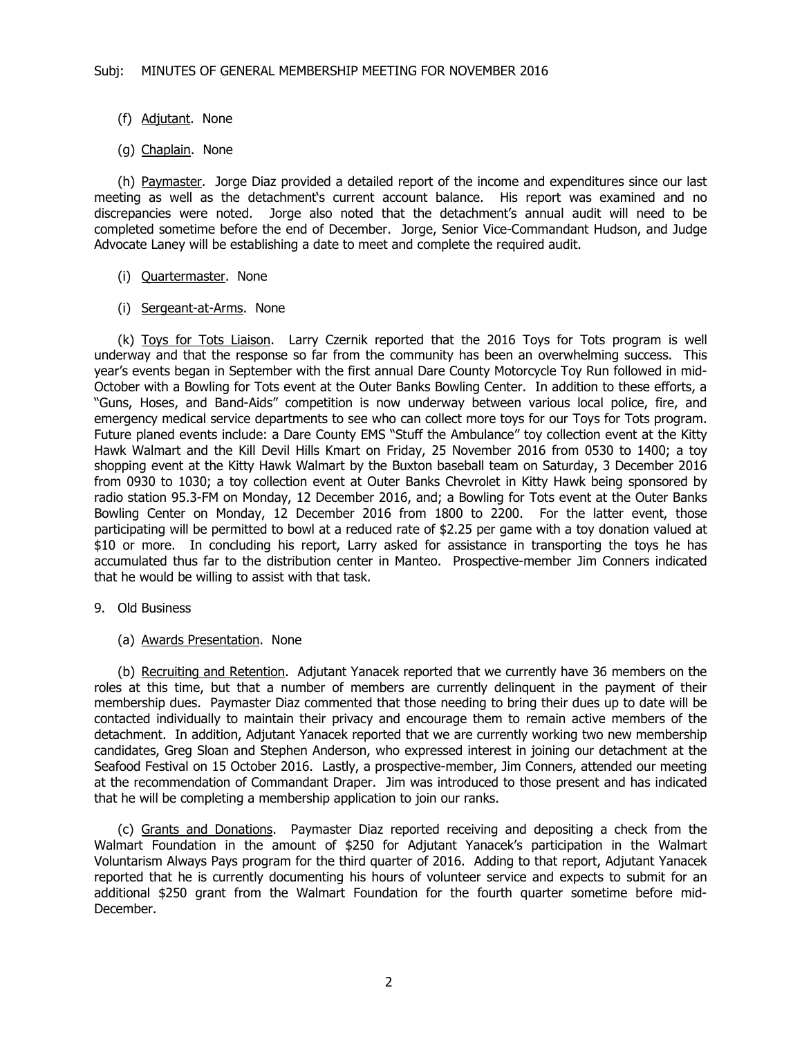- (f) Adjutant. None
- (g) Chaplain. None

(h) Paymaster. Jorge Diaz provided a detailed report of the income and expenditures since our last meeting as well as the detachment's current account balance. His report was examined and no discrepancies were noted. Jorge also noted that the detachment's annual audit will need to be completed sometime before the end of December. Jorge, Senior Vice-Commandant Hudson, and Judge Advocate Laney will be establishing a date to meet and complete the required audit.

- (i) Quartermaster. None
- (i) Sergeant-at-Arms. None

(k) Toys for Tots Liaison. Larry Czernik reported that the 2016 Toys for Tots program is well underway and that the response so far from the community has been an overwhelming success. This year's events began in September with the first annual Dare County Motorcycle Toy Run followed in mid-October with a Bowling for Tots event at the Outer Banks Bowling Center. In addition to these efforts, a "Guns, Hoses, and Band-Aids" competition is now underway between various local police, fire, and emergency medical service departments to see who can collect more toys for our Toys for Tots program. Future planed events include: a Dare County EMS "Stuff the Ambulance" toy collection event at the Kitty Hawk Walmart and the Kill Devil Hills Kmart on Friday, 25 November 2016 from 0530 to 1400; a toy shopping event at the Kitty Hawk Walmart by the Buxton baseball team on Saturday, 3 December 2016 from 0930 to 1030; a toy collection event at Outer Banks Chevrolet in Kitty Hawk being sponsored by radio station 95.3-FM on Monday, 12 December 2016, and; a Bowling for Tots event at the Outer Banks Bowling Center on Monday, 12 December 2016 from 1800 to 2200. For the latter event, those participating will be permitted to bowl at a reduced rate of \$2.25 per game with a toy donation valued at \$10 or more. In concluding his report, Larry asked for assistance in transporting the toys he has accumulated thus far to the distribution center in Manteo. Prospective-member Jim Conners indicated that he would be willing to assist with that task.

- 9. Old Business
	- (a) Awards Presentation. None

(b) Recruiting and Retention. Adjutant Yanacek reported that we currently have 36 members on the roles at this time, but that a number of members are currently delinquent in the payment of their membership dues. Paymaster Diaz commented that those needing to bring their dues up to date will be contacted individually to maintain their privacy and encourage them to remain active members of the detachment. In addition, Adjutant Yanacek reported that we are currently working two new membership candidates, Greg Sloan and Stephen Anderson, who expressed interest in joining our detachment at the Seafood Festival on 15 October 2016. Lastly, a prospective-member, Jim Conners, attended our meeting at the recommendation of Commandant Draper. Jim was introduced to those present and has indicated that he will be completing a membership application to join our ranks.

(c) Grants and Donations. Paymaster Diaz reported receiving and depositing a check from the Walmart Foundation in the amount of \$250 for Adjutant Yanacek's participation in the Walmart Voluntarism Always Pays program for the third quarter of 2016. Adding to that report, Adjutant Yanacek reported that he is currently documenting his hours of volunteer service and expects to submit for an additional \$250 grant from the Walmart Foundation for the fourth quarter sometime before mid-December.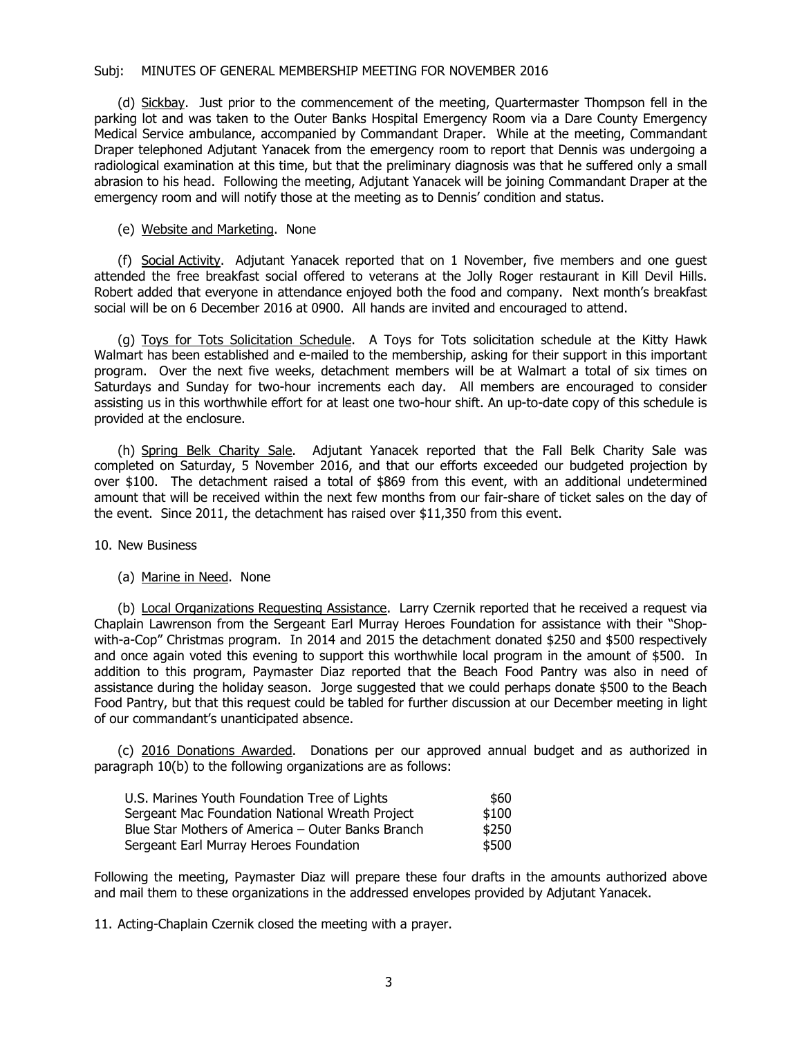### Subj: MINUTES OF GENERAL MEMBERSHIP MEETING FOR NOVEMBER 2016

(d) Sickbay. Just prior to the commencement of the meeting, Quartermaster Thompson fell in the parking lot and was taken to the Outer Banks Hospital Emergency Room via a Dare County Emergency Medical Service ambulance, accompanied by Commandant Draper. While at the meeting, Commandant Draper telephoned Adjutant Yanacek from the emergency room to report that Dennis was undergoing a radiological examination at this time, but that the preliminary diagnosis was that he suffered only a small abrasion to his head. Following the meeting, Adjutant Yanacek will be joining Commandant Draper at the emergency room and will notify those at the meeting as to Dennis' condition and status.

#### (e) Website and Marketing. None

(f) Social Activity. Adjutant Yanacek reported that on 1 November, five members and one guest attended the free breakfast social offered to veterans at the Jolly Roger restaurant in Kill Devil Hills. Robert added that everyone in attendance enjoyed both the food and company. Next month's breakfast social will be on 6 December 2016 at 0900. All hands are invited and encouraged to attend.

(g) Toys for Tots Solicitation Schedule. A Toys for Tots solicitation schedule at the Kitty Hawk Walmart has been established and e-mailed to the membership, asking for their support in this important program. Over the next five weeks, detachment members will be at Walmart a total of six times on Saturdays and Sunday for two-hour increments each day. All members are encouraged to consider assisting us in this worthwhile effort for at least one two-hour shift. An up-to-date copy of this schedule is provided at the enclosure.

(h) Spring Belk Charity Sale. Adjutant Yanacek reported that the Fall Belk Charity Sale was completed on Saturday, 5 November 2016, and that our efforts exceeded our budgeted projection by over \$100. The detachment raised a total of \$869 from this event, with an additional undetermined amount that will be received within the next few months from our fair-share of ticket sales on the day of the event. Since 2011, the detachment has raised over \$11,350 from this event.

10. New Business

#### (a) Marine in Need. None

(b) Local Organizations Requesting Assistance. Larry Czernik reported that he received a request via Chaplain Lawrenson from the Sergeant Earl Murray Heroes Foundation for assistance with their "Shopwith-a-Cop" Christmas program. In 2014 and 2015 the detachment donated \$250 and \$500 respectively and once again voted this evening to support this worthwhile local program in the amount of \$500. In addition to this program, Paymaster Diaz reported that the Beach Food Pantry was also in need of assistance during the holiday season. Jorge suggested that we could perhaps donate \$500 to the Beach Food Pantry, but that this request could be tabled for further discussion at our December meeting in light of our commandant's unanticipated absence.

(c) 2016 Donations Awarded. Donations per our approved annual budget and as authorized in paragraph 10(b) to the following organizations are as follows:

| U.S. Marines Youth Foundation Tree of Lights      | \$60  |
|---------------------------------------------------|-------|
| Sergeant Mac Foundation National Wreath Project   | \$100 |
| Blue Star Mothers of America – Outer Banks Branch | \$250 |
| Sergeant Earl Murray Heroes Foundation            | \$500 |

Following the meeting, Paymaster Diaz will prepare these four drafts in the amounts authorized above and mail them to these organizations in the addressed envelopes provided by Adjutant Yanacek.

11. Acting-Chaplain Czernik closed the meeting with a prayer.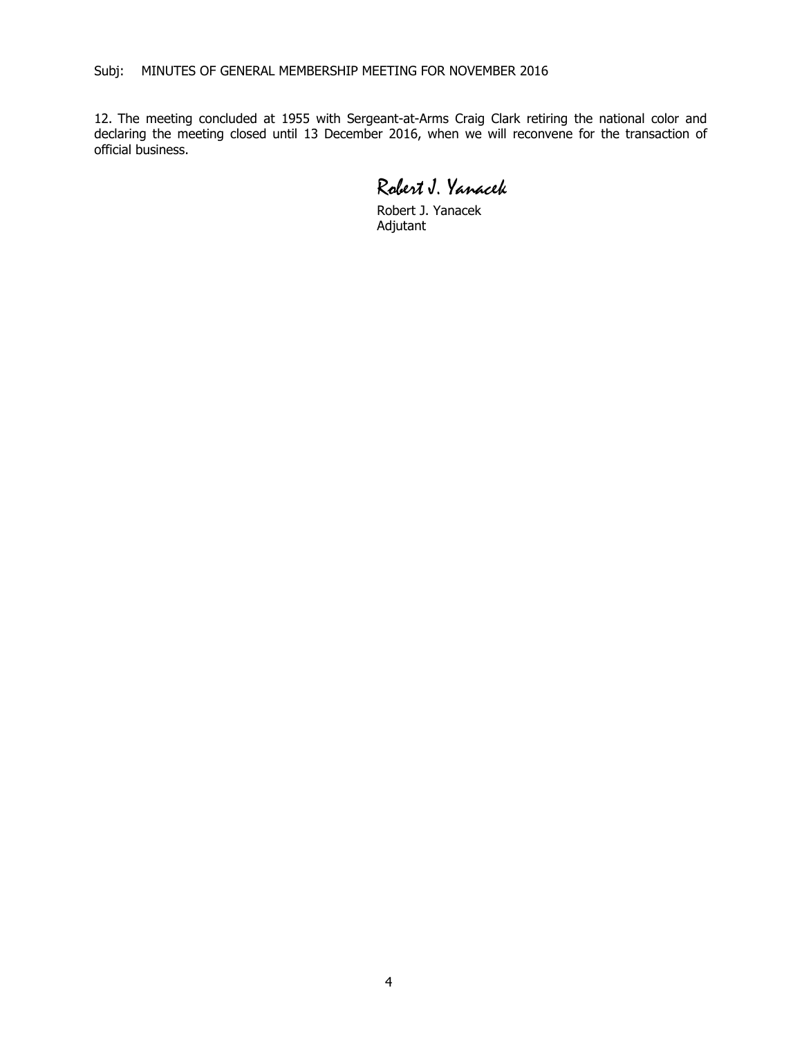12. The meeting concluded at 1955 with Sergeant-at-Arms Craig Clark retiring the national color and declaring the meeting closed until 13 December 2016, when we will reconvene for the transaction of official business.

Robert J. Yanacek

Robert J. Yanacek Adjutant